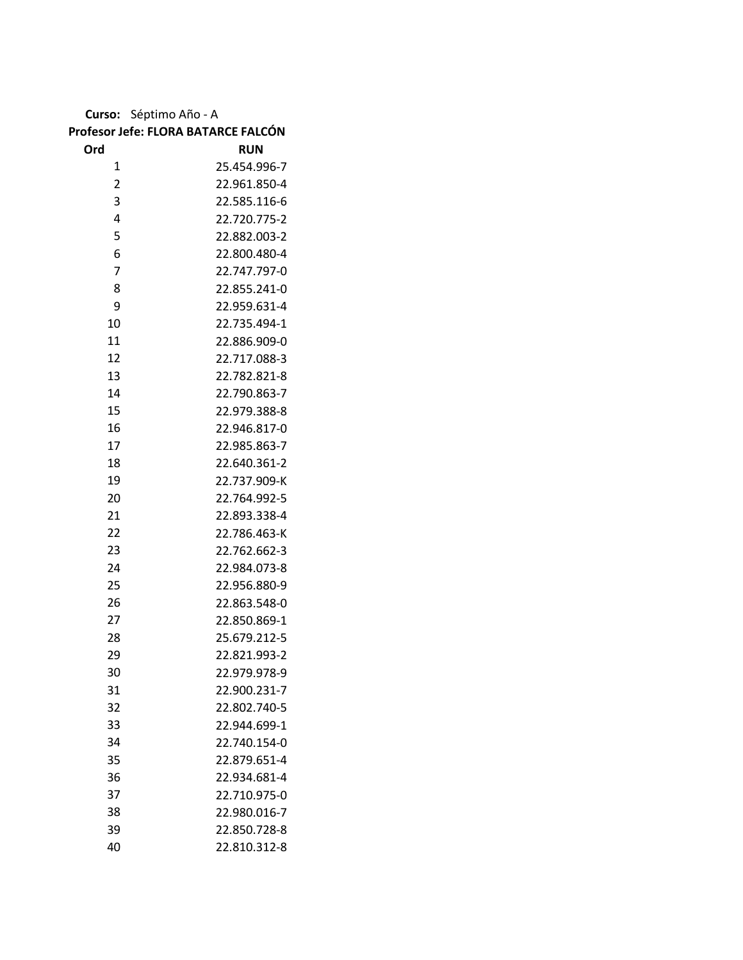**Curso:** Séptimo Año - A

## **Profesor Jefe: FLORA BATARCE FALCÓN**

| Ord            | <b>RUN</b>   |
|----------------|--------------|
| 1              | 25.454.996-7 |
| $\overline{2}$ | 22.961.850-4 |
| 3              | 22.585.116-6 |
| 4              | 22.720.775-2 |
| 5              | 22.882.003-2 |
| 6              | 22.800.480-4 |
| $\overline{7}$ | 22.747.797-0 |
| 8              | 22.855.241-0 |
| 9              | 22.959.631-4 |
| 10             | 22.735.494-1 |
| 11             | 22.886.909-0 |
| 12             | 22.717.088-3 |
| 13             | 22.782.821-8 |
| 14             | 22.790.863-7 |
| 15             | 22.979.388-8 |
| 16             | 22.946.817-0 |
| 17             | 22.985.863-7 |
| 18             | 22.640.361-2 |
| 19             | 22.737.909-K |
| 20             | 22.764.992-5 |
| 21             | 22.893.338-4 |
| 22             | 22.786.463-K |
| 23             | 22.762.662-3 |
| 24             | 22.984.073-8 |
| 25             | 22.956.880-9 |
| 26             | 22.863.548-0 |
| 27             | 22.850.869-1 |
| 28             | 25.679.212-5 |
| 29             | 22.821.993-2 |
| 30             | 22.979.978-9 |
| 31             | 22.900.231-7 |
| 32             | 22.802.740-5 |
| 33             | 22.944.699-1 |
| 34             | 22.740.154-0 |
| 35             | 22.879.651-4 |
| 36             | 22.934.681-4 |
| 37             | 22.710.975-0 |
| 38             | 22.980.016-7 |
| 39             | 22.850.728-8 |
| 40             | 22.810.312-8 |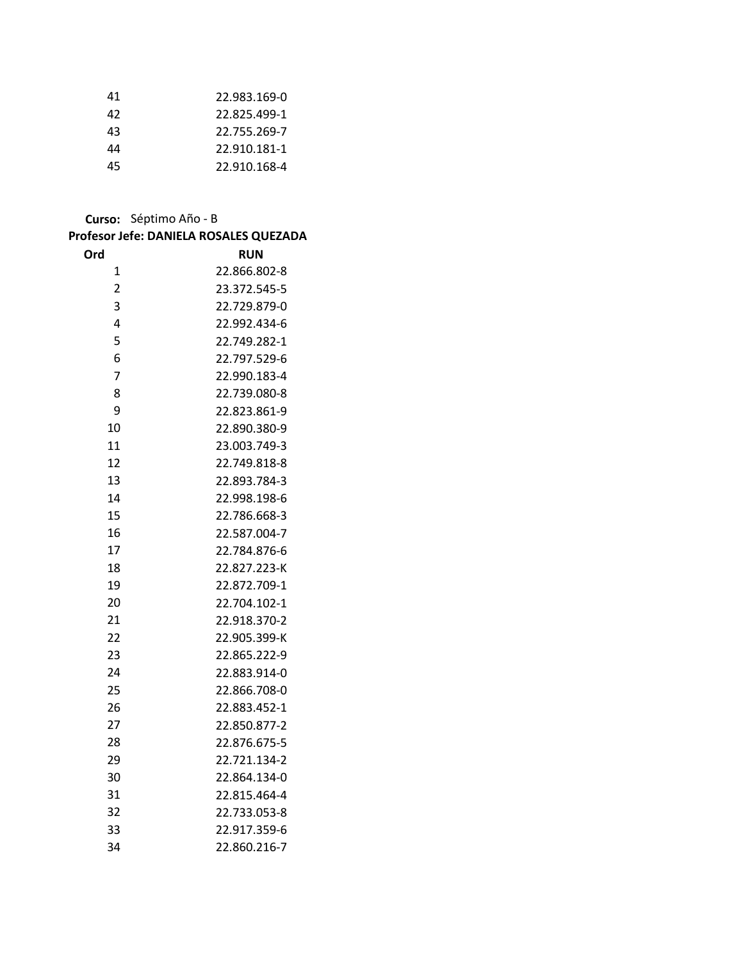| 41 | 22.983.169-0 |
|----|--------------|
| 42 | 22.825.499-1 |
| 43 | 22.755.269-7 |
| 44 | 22.910.181-1 |
| 45 | 22.910.168-4 |

**Curso:** Séptimo Año - B

|                | Profesor Jefe: DANIELA ROSALES QUEZADA |
|----------------|----------------------------------------|
| Ord            | <b>RUN</b>                             |
| 1              | 22.866.802-8                           |
| $\overline{c}$ | 23.372.545-5                           |
| 3              | 22.729.879-0                           |
| 4              | 22.992.434-6                           |
| 5              | 22.749.282-1                           |
| 6              | 22.797.529-6                           |
| 7              | 22.990.183-4                           |
| 8              | 22.739.080-8                           |
| 9              | 22.823.861-9                           |
| 10             | 22.890.380-9                           |
| 11             | 23.003.749-3                           |
| 12             | 22.749.818-8                           |
| 13             | 22.893.784-3                           |
| 14             | 22.998.198-6                           |
| 15             | 22.786.668-3                           |
| 16             | 22.587.004-7                           |
| 17             | 22.784.876-6                           |
| 18             | 22.827.223-K                           |
| 19             | 22.872.709-1                           |
| 20             | 22.704.102-1                           |
| 21             | 22.918.370-2                           |
| 22             | 22.905.399-K                           |
| 23             | 22.865.222-9                           |
| 24             | 22.883.914-0                           |
| 25             | 22.866.708-0                           |
| 26             | 22.883.452-1                           |
| 27             | 22.850.877-2                           |
| 28             | 22.876.675-5                           |
| 29             | 22.721.134-2                           |
| 30             | 22.864.134-0                           |
| 31             | 22.815.464-4                           |
| 32             | 22.733.053-8                           |
| 33             | 22.917.359-6                           |
| 34             | 22.860.216-7                           |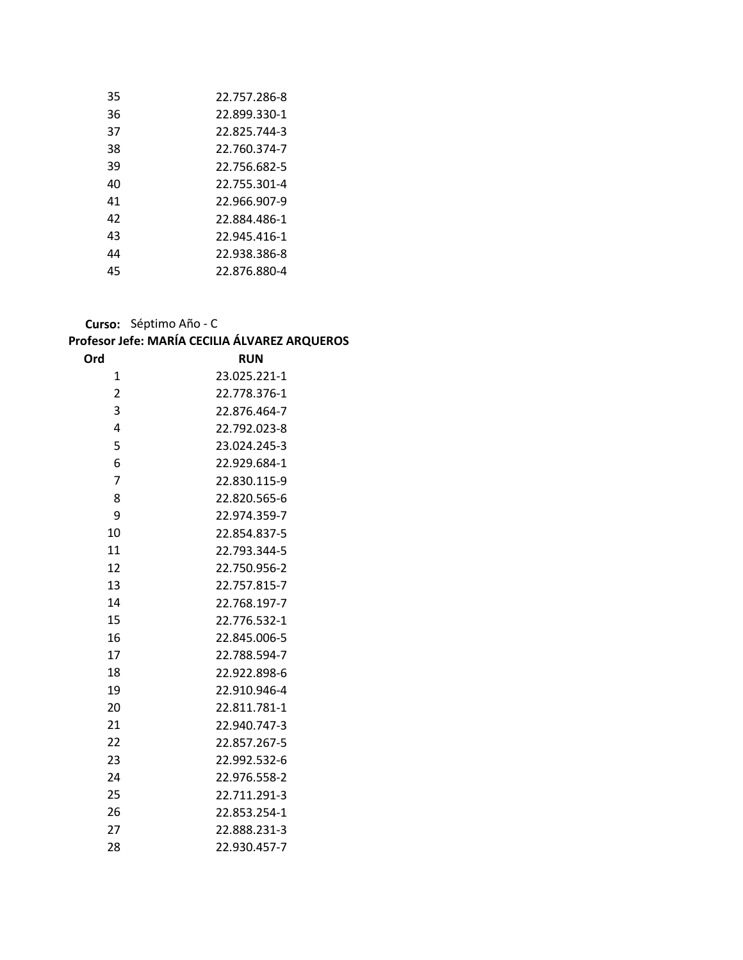| 35 | 22.757.286-8 |
|----|--------------|
| 36 | 22.899.330-1 |
| 37 | 22.825.744-3 |
| 38 | 22.760.374-7 |
| 39 | 22.756.682-5 |
| 40 | 22.755.301-4 |
| 41 | 22.966.907-9 |
| 42 | 22.884.486-1 |
| 43 | 22.945.416-1 |
| 44 | 22.938.386-8 |
| 45 | 22.876.880-4 |

**Curso:** Séptimo Año - C

## **Profesor Jefe: MARÍA CECILIA ÁLVAREZ ARQUEROS**

| Ord            | <b>RUN</b>   |
|----------------|--------------|
| 1              | 23.025.221-1 |
| $\overline{2}$ | 22.778.376-1 |
| 3              | 22.876.464-7 |
| 4              | 22.792.023-8 |
| 5              | 23.024.245-3 |
| 6              | 22.929.684-1 |
| 7              | 22.830.115-9 |
| 8              | 22.820.565-6 |
| 9              | 22.974.359-7 |
| 10             | 22.854.837-5 |
| 11             | 22.793.344-5 |
| 12             | 22.750.956-2 |
| 13             | 22.757.815-7 |
| 14             | 22.768.197-7 |
| 15             | 22.776.532-1 |
| 16             | 22.845.006-5 |
| 17             | 22.788.594-7 |
| 18             | 22.922.898-6 |
| 19             | 22.910.946-4 |
| 20             | 22.811.781-1 |
| 21             | 22.940.747-3 |
| 22             | 22.857.267-5 |
| 23             | 22.992.532-6 |
| 24             | 22.976.558-2 |
| 25             | 22.711.291-3 |
| 26             | 22.853.254-1 |
| 27             | 22.888.231-3 |
| 28             | 22.930.457-7 |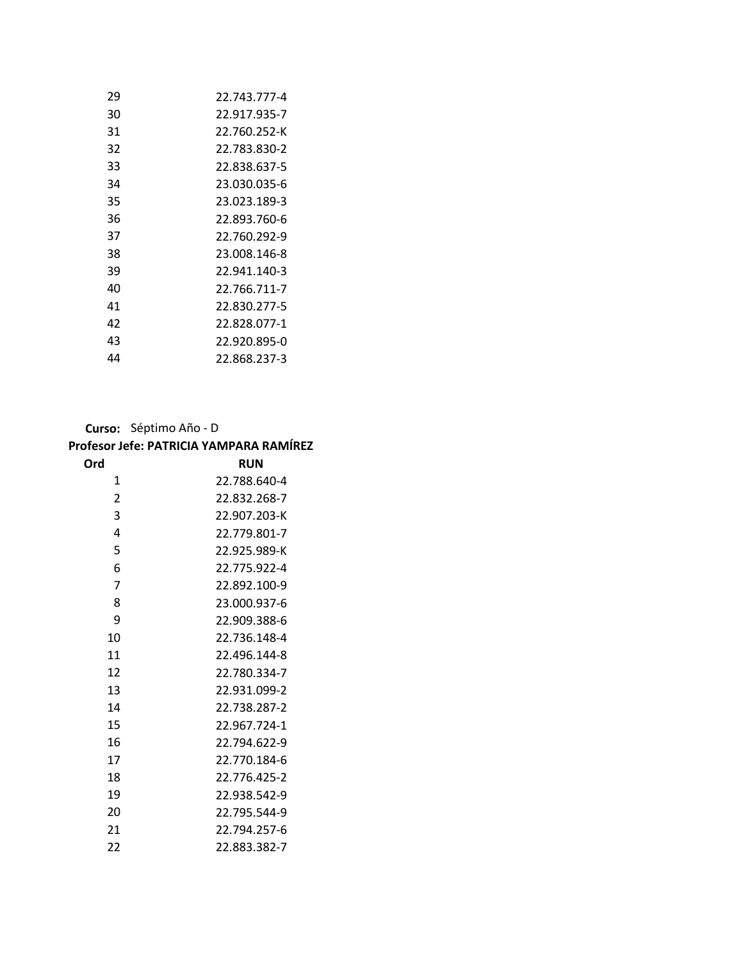| 29 | 22.743.777-4 |
|----|--------------|
| 30 | 22.917.935-7 |
| 31 | 22.760.252-K |
| 32 | 22.783.830-2 |
| 33 | 22.838.637-5 |
| 34 | 23.030.035-6 |
| 35 | 23.023.189-3 |
| 36 | 22.893.760-6 |
| 37 | 22.760.292-9 |
| 38 | 23.008.146-8 |
| 39 | 22.941.140-3 |
| 40 | 22.766.711-7 |
| 41 | 22.830.277-5 |
| 42 | 22.828.077-1 |
| 43 | 22.920.895-0 |
| 44 | 22.868.237-3 |

**Curso:** Séptimo Año - D

| Profesor Jefe: PATRICIA YAMPARA RAMÍREZ |  |  |  |
|-----------------------------------------|--|--|--|
|-----------------------------------------|--|--|--|

| Ord | <b>RUN</b>   |
|-----|--------------|
| 1   | 22.788.640-4 |
| 2   | 22.832.268-7 |
| 3   | 22.907.203-K |
| 4   | 22.779.801-7 |
| 5   | 22.925.989-K |
| 6   | 22.775.922-4 |
| 7   | 22.892.100-9 |
| 8   | 23.000.937-6 |
| 9   | 22.909.388-6 |
| 10  | 22.736.148-4 |
| 11  | 22.496.144-8 |
| 12  | 22.780.334-7 |
| 13  | 22.931.099-2 |
| 14  | 22.738.287-2 |
| 15  | 22.967.724-1 |
| 16  | 22.794.622-9 |
| 17  | 22.770.184-6 |
| 18  | 22.776.425-2 |
| 19  | 22.938.542-9 |
| 20  | 22.795.544-9 |
| 21  | 22.794.257-6 |
| 22  | 22.883.382-7 |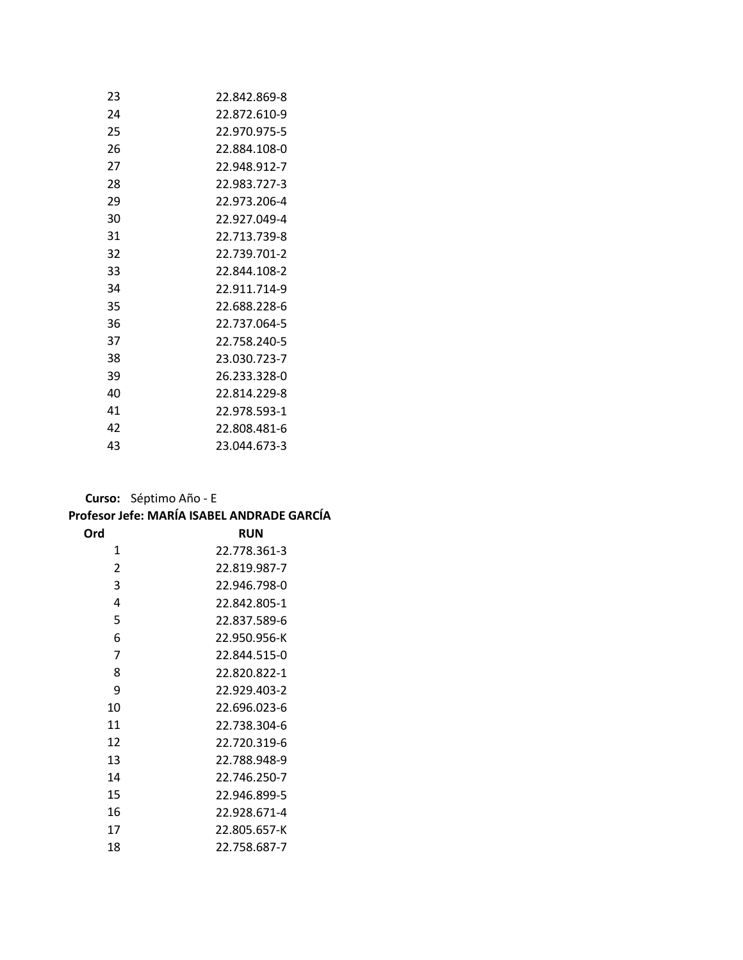| 23 | 22.842.869-8 |
|----|--------------|
| 24 | 22.872.610-9 |
| 25 | 22.970.975-5 |
| 26 | 22.884.108-0 |
| 27 | 22.948.912-7 |
| 28 | 22.983.727-3 |
| 29 | 22.973.206-4 |
| 30 | 22.927.049-4 |
| 31 | 22.713.739-8 |
| 32 | 22.739.701-2 |
| 33 | 22.844.108-2 |
| 34 | 22.911.714-9 |
| 35 | 22.688.228-6 |
| 36 | 22.737.064-5 |
| 37 | 22.758.240-5 |
| 38 | 23.030.723-7 |
| 39 | 26.233.328-0 |
| 40 | 22.814.229-8 |
| 41 | 22.978.593-1 |
| 42 | 22.808.481-6 |
| 43 | 23.044.673-3 |

**Curso:** Séptimo Año - E

|     | Profesor Jefe: MARÍA ISABEL ANDRADE GARCÍA |
|-----|--------------------------------------------|
| Ord | <b>RUN</b>                                 |
| 1   | 22.778.361-3                               |
| 2   | 22.819.987-7                               |
| 3   | 22.946.798-0                               |
| 4   | 22.842.805-1                               |
| 5   | 22.837.589-6                               |
| 6   | 22.950.956-K                               |
| 7   | 22.844.515-0                               |
| 8   | 22.820.822-1                               |
| 9   | 22.929.403-2                               |
| 10  | 22.696.023-6                               |
| 11  | 22.738.304-6                               |
| 12  | 22.720.319-6                               |
| 13  | 22.788.948-9                               |
| 14  | 22.746.250-7                               |
| 15  | 22.946.899-5                               |
| 16  | 22.928.671-4                               |
| 17  | 22.805.657-K                               |
| 18  | 22.758.687-7                               |
|     |                                            |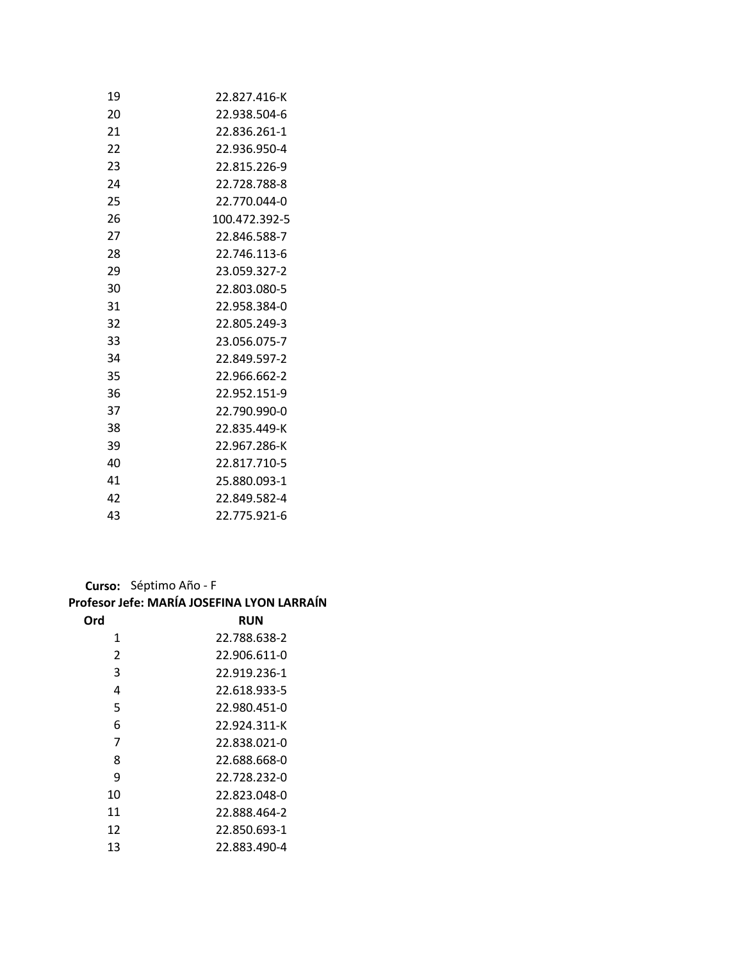| 19 | 22.827.416-K  |
|----|---------------|
| 20 | 22.938.504-6  |
| 21 | 22.836.261-1  |
| 22 | 22.936.950-4  |
| 23 | 22.815.226-9  |
| 24 | 22.728.788-8  |
| 25 | 22.770.044-0  |
| 26 | 100.472.392-5 |
| 27 | 22.846.588-7  |
| 28 | 22.746.113-6  |
| 29 | 23.059.327-2  |
| 30 | 22.803.080-5  |
| 31 | 22.958.384-0  |
| 32 | 22.805.249-3  |
| 33 | 23.056.075-7  |
| 34 | 22.849.597-2  |
| 35 | 22.966.662-2  |
| 36 | 22.952.151-9  |
| 37 | 22.790.990-0  |
| 38 | 22.835.449-K  |
| 39 | 22.967.286-K  |
| 40 | 22.817.710-5  |
| 41 | 25.880.093-1  |
| 42 | 22.849.582-4  |
| 43 | 22.775.921-6  |

**Curso:** Séptimo Año - F

## **Profesor Jefe: MARÍA JOSEFINA LYON LARRAÍN**

| Ord | RUN          |
|-----|--------------|
| 1   | 22.788.638-2 |
| 2   | 22.906.611-0 |
| 3   | 22.919.236-1 |
| 4   | 22.618.933-5 |
| 5   | 22.980.451-0 |
| 6   | 22.924.311-K |
| 7   | 22.838.021-0 |
| 8   | 22.688.668-0 |
| 9   | 22.728.232-0 |
| 10  | 22.823.048-0 |
| 11  | 22.888.464-2 |
| 12  | 22.850.693-1 |
| 13  | 22.883.490-4 |